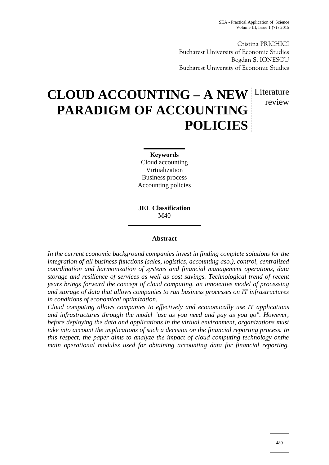Cristina PRICHICI Bucharest University of Economic Studies Bogdan . IONESCU Bucharest University of Economic Studies

# **CLOUD ACCOUNTING – A NEW** Literature **PARADIGM OF ACCOUNTING POLICIES** review

**Keywords** Cloud accounting Virtualization Business process Accounting policies

**JEL Classification** M40

### **Abstract**

*In the current economic background companies invest in finding complete solutions for the integration of all business functions (sales, logistics, accounting aso.), control, centralized coordination and harmonization of systems and financial management operations, data storage and resilience of services as well as cost savings. Technological trend of recent years brings forward the concept of cloud computing, an innovative model of processing and storage of data that allows companies to run business processes on IT infrastructures in conditions of economical optimization.*

*Cloud computing allows companies to effectively and economically use IT applications and infrastructures through the model "use as you need and pay as you go". However, before deploying the data and applications in the virtual environment, organizations must take into account the implications of such a decision on the financial reporting process. In this respect, the paper aims to analyze the impact of cloud computing technology onthe main operational modules used for obtaining accounting data for financial reporting.*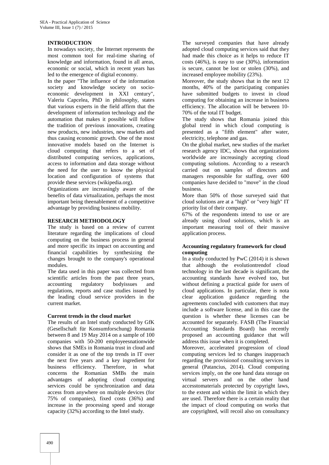### **INTRODUCTION**

In nowadays society, the Internet represents the most common tool for real-time sharing of knowledge and information, found in all areas, economic or social, which in recent years has led to the emergence of digital economy.

In the paper "The influence of the information society and knowledge society on socio economic development in XXI century", Valeriu Capcelea, PhD in philosophy, states that various experts in the field affirm that the development of information technology and the automation that makes it possible will follow the tradition of previous innovations, creating new products, new industries, new markets and thus causing economic growth. One of the most innovative models based on the Internet is cloud computing that refers to a set of distributed computing services, applications, access to information and data storage without the need for the user to know the physical location and configuration of systems that provide these services (wikipedia.org).

Organizations are increasingly aware of the benefits of data virtualization, perhaps the most important being theenablement of a competitive advantage by providing business mobility.

### **RESEARCH METHODOLOGY**

The study is based on a review of current literature regarding the implications of cloud computing on the business process in general and more specific its impact on accounting and financial capabilities by synthesizing the changes brought to the company's operational modules.

The data used in this paper was collected from scientific articles from the past three years, accounting regulatory bodyissues and regulations, reports and case studies issued by the leading cloud service providers in the current market.

### **Current trends in the cloud market**

The results of an Intel study conducted by GfK (Gesellschaft für Konsumforschung) Romania between 8 and 19 May 2014 on a sample of 100 companies with 50-200 employeesnationwide shows that SMEs in Romania trust in cloud and consider it as one of the top trends in IT over the next five years and a key ingredient for business efficiency. Therefore, in what concerns the Romanian SMBs the main advantages of adopting cloud computing services could be synchronization and data access from anywhere on multiple devices (for 75% of companies), fixed costs (36%) and increase in the processing speed and storage capacity (32%) according to the Intel study.

The surveyed companies that have already adopted cloud computing services said that they had made this choice as it helps to reduce IT costs (46%), is easy to use (30%), information is secure, cannot be lost or stolen (30%), and increased employee mobility (23%).

Moreover, the study shows that in the next 12 months, 40% of the participating companies have submitted budgets to invest in cloud computing for obtaining an increase in business efficiency. The allocation will be between 10- 70% of the total IT budget.

The study shows that Romania joined this global trend in which cloud computing is presented as a "fifth element" after water, electricity, telephone and gas.

On the global market, new studies of the market research agency IDC, shows that organizations worldwide are increasingly accepting cloud computing solutions. According to a research carried out on samples of directors and managers responsible for staffing, over 600 companies have decided to "move" in the cloud business.

More than 50% of those surveyed said that cloud solutions are at a "high" or "very high" IT priority list of their company.

67% of the respondents intend to use or are already using cloud solutions, which is an important measuring tool of their massive application process.

### **Accounting regulatory framework for cloud computing**

In a study conducted by PwC (2014) it is shown that although the evolutiontrendof cloud technology in the last decade is significant, the accounting standards have evolved too, but without defining a practical guide for users of cloud applications. In particular, there is nota clear application guidance regarding the agreements concluded with customers that may include a software license, and in this case the question is whether these licenses can be accounted for separately. FASB (The Financial Accounting Standards Board) has recently proposed an accounting guidance that will address this issue when it is completed.

Moreover, accelerated progression of cloud computing services led to changes inapproach regarding the provisionof consulting services in general (Patancius, 2014). Cloud computing services imply, on the one hand data storage on virtual servers and on the other hand accesstomaterials protected by copyright laws, to the extent and within the limit in which they are used. Therefore there is a certain reality that the impact of cloud computing on works that are copyrighted, will recoil also on consultancy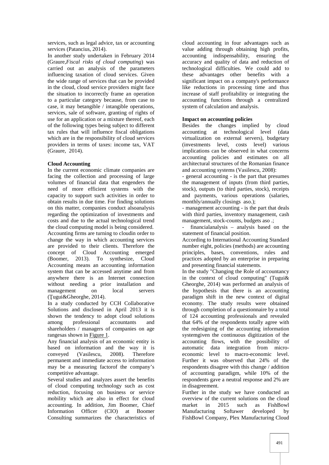services, such as legal advice, tax or accounting services (Patancius, 2014).

In another study undertaken in February 2014 (Graure,*Fiscal risks of cloud computing*) was carried out an analysis of the parameters influencing taxation of cloud services. Given the wide range of services that can be provided in the cloud, cloud service providers might face the situation to incorrectly frame an operation to a particular category because, from case to case, it may betangible / intangible operations, services, sale of software, granting of rights of use for an application or a mixture thereof, each of the following types being subject to different tax rules that will influence fiscal obligations which are in the responsibility of cloud services providers in terms of taxes: income tax, VAT (Graure, 2014).

### **Cloud Accounting**

In the current economic climate companies are facing the collection and processing of large volumes of financial data that engenders the need of more efficient systems with the capacity to support such activities in order to obtain results in due time. For finding solutions on this matter, companies conduct alsoanalysis regarding the optimization of investments and costs and due to the actual technological trend the cloud computing model is being considered. Accounting firms are turning to cloudin order to change the way in which accounting services are provided to their clients. Therefore the concept of Cloud Accounting emerged (Boomer, 2013). To synthesize, Cloud Accounting means an accounting information system that can be accessed anytime and from anywhere there is an Internet connection without needing a prior installation and management on local servers  $($ ugui&Gheorghe, 2014).

In a study conducted by CCH Collaborative Solutions and disclosed in April 2013 it is shown the tendency to adopt cloud solutions among professional accountants and shareholders / managers of companies on age rangesas shown in Figure 1.

Any financial analysis of an economic entity is based on information and the way it is conveyed (Vasilescu, 2008). Therefore permanent and immediate access to information may be a measuring factorof the company's competitive advantage.

Several studies and analyzes assert the benefits of cloud computing technology such as cost reduction, focusing on business or service mobility which are also in effect for cloud accounting. In addition, Jim Boomer, Chief Information Officer (CIO) at Boomer Consulting summarizes the characteristics of

cloud accounting in four advantages such as value adding through obtaining high profits, accounting indispensability, ensuring the accuracy and quality of data and reduction of technological difficulties. We could add to these advantages other benefits with a significant impact on a company's performance like reductions in processing time and thus increase of staff profitability or integrating the accounting functions through a centralized system of calculation and analysis.

### **Impact on accounting policies**

Besides the changes implied by cloud accounting at technological level (data virtualization on external servers), budgetary (investments level, costs level) various implications can be observed in what concerns accounting policies and estimates on all architectural structures of the Romanian finance and accounting systems (Vasilescu, 2008):

- general accounting - is the part that presumes the management of inputs (from third parties, stock), outputs (to third parties, stock), receipts and payments, various operations (salaries, monthly/annually closings aso.);

- management accounting - is the part that deals with third parties, inventory management, cash management, stock-counts, budgets aso .;

- financialanalysis – analysis based on the statement of financial position.

According to International Accounting Standard number eight, policies (methods) are accounting principles, bases, conventions, rules and practices adopted by an enterprise in preparing and presenting financial statements.

In the study "Changing the Role of accountancy in the context of cloud computing" (Tugui& Gheorghe, 2014) was performed an analysis of the hypothesis that there is an accounting paradigm shift in the new context of digital economy. The study results were obtained through completion of a questionnaire by a total of 124 accounting professionals and revealed that 64% of the respondents totally agree with the redesigning of the accounting information systemgiven the continuous digitization of the accounting flows, with the possibility of automatic data integration from micro economic level to macro-economic level. Further it was observed that 24% of the respondents disagree with this change / addition of accounting paradigm, while 10% of the respondents gave a neutral response and 2% are in disagreement.

Further in the study we have conducted an overview of the current solutions on the cloud market in 2015 such as FishBowl Manufacturing Softawer developed by FishBowl Company, Plex Manufacturing Cloud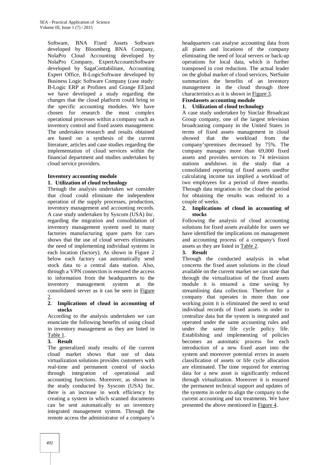Software, BNA Fixed Assets Software developed by Bloomberg BNA Company, NolaPro Cloud Accounting developed by NolaPro Company, ExpertAccountsSoftware developed by SagaContabilitate, Accounting Expert Office, B-LogicSoftware developed by Business Logic Software Company (case study: B-Logic ERP at Profinex and Grange EE)and we have developed a study regarding the changes that the cloud platform could bring to the specific accounting modules. We have chosen for research the most complex operational processes within a company such as inventory control and fixed assets management. The undertaken research and results obtained are based on a synthesis of the current literature, articles and case studies regarding the implementation of cloud services within the financial department and studies undertaken by cloud service providers.

### **Inventory accounting module 1. Utilization of cloud technology**

Through the analysis undertaken we consider that cloud could eliminate the independent operation of the supply processes, production, inventory management and accounting records. A case study undertaken by Syscom (USA) Inc. regarding the migration and consolidation of inventory management system used in many factories manufacturing spare parts for cars shows that the use of cloud servers eliminates the need of implementing individual systems in each location (factory). As shown in Figure 2 below each factory can automatically send stock data to a central data station. Also, through a VPN connection is ensured the access to information from the headquarters to the inventory management system at the consolidated server as it can be seen in Figure 2.

### **2. Implications of cloud in accounting of stocks**

According to the analysis undertaken we can enunciate the following benefits of using cloud in inventory management as they are listed in Table 1.

### **3. Result**

The generalized study results of the current cloud market shows that use of data virtualization solutions provides customers with real-time and permanent control of stocks through integration of operational and accounting functions. Moreover, as shown in the study conducted by Syscom (USA) Inc. there is an increase in work efficiency by creating a system in which scanned documents can be sent automatically to an inventory integrated management system. Through the remote access the administrator of a company's

headquarters can analyse accounting data from all plants and locations of the company eliminating the need of local servers or back-up operations for local data, which is further transposed in cost reduction. The actual leader on the global market of cloud services, NetSuite summarizes the benefits of an inventory management in the cloud through three characteristics as it is shown in Figure 3.

## **Fixedassets accounting module**

### **1. Utilization of cloud technology**

A case study undertaken by Sinclair Broadcast Group company, one of the largest television broadcasting company in the United States in terms of fixed assets management in cloud showed that the workload from the company'spremises decreased by 75%. The company manages more than 69,000 fixed assets and provides services to 74 television stations andshows in the study that a consolidated reporting of fixed assets usedfor calculating income tax implied a workload of two employees for a period of three months. Through data migration in the cloud the period for obtaining the results was reduced to a couple of weeks.

### **2. Implications of cloud in accounting of stocks**

Following the analysis of cloud accounting solutions for fixed assets available for users we have identified the implications on management and accounting process of a company's fixed assets as they are listed in Table 2.

### **3. Result**

Through the conducted analysis in what concerns the fixed asset solutions in the cloud available on the current market we can state that through the virtualization of the fixed assets module it is ensured a time saving by streamlining data collection. Therefore for a company that operates in more than one working point it is eliminated the need to send individual records of fixed assets in order to centralize data but the system is integrated and operated under the same accounting rules and under the same life cycle policy life. Establishing and implementing of policies becomes an automatic process for each introduction of a new fixed asset into the system and moreover potential errors in assets classification of assets or life cycle allocation are eliminated. The time required for entering data for a new asset is significantly reduced through virtualization. Moreover it is ensured the permanent technical support and updates of the systems in order to align the company to the current accounting and tax treatments. We have presented the above mentioned in Figure 4.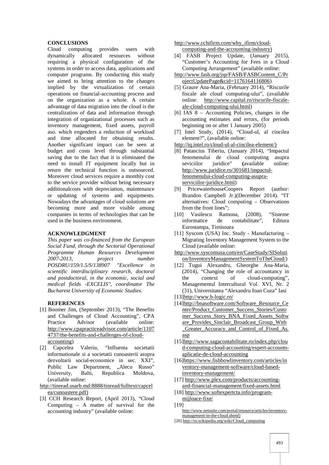### **CONCLUSIONS**

Cloud computing provides users with dynamically allocated resources without requiring a physical configuration of the systems in order to access data, applications and computer programs. By conducting this study we aimed to bring attention to the changes implied by the virtualization of certain operations on financial-accounting process and on the organization as a whole. A certain advantage of data migration into the cloud is the centralization of data and information through integration of organizational processes such as inventory management, fixed assets, payroll aso. which engenders a reduction of workload and time allocated for obtaining results. Another significant impact can be seen at budget and costs level through substantial saving due to the fact that it is eliminated the need to install IT equipment locally but in return the technical function is outsourced. Moreover cloud services require a monthly cost to the service provider without being necessary additionalcosts with depreciation, maintenance or updating of systems and equipments. Nowadays the advantages of cloud solutions are becoming more and more visible among companies in terms of technologies that can be used in the business environment.

### **ACKNOWLEDGMENT**

*This paper was co-financed from the European Social Fund, through the Sectorial Operational Programme Human Resources Development 2007-2013, project number POSDRU/159/1.5/S/138907 "Excellence in scientific interdisciplinary research, doctoral and postdoctoral, in the economic, social and medical fields -EXCELIS", coordinator The Bucharest University of Economic Studies.*

### **REFERENCES**

- [1] Boomer Jim, (September 2013), "The Benefits and Challenges of Cloud Accounting", CPA Practice Advisor (available online: http://www.cpapracticeadvisor.com/article/1107 4737/the-benefits-and-challenges-of-cloud accounting)
- [2] Capcelea Valeriu, "Influenta societatii informationale si a societatii cunoasterii asupra dezvoltarii social-economice in sec. XXI", Public Law Department, ...Alecu Russo" University, Balti, Republica Moldova, (available online:

http://tinread.usarb.md:8888/tinread/fulltext/capcel ea/cunoastere.pdf)

[3] CCH Research Report, (April 2013), "Cloud Computing – A matter of survival for the accounting industry" (available online:

http://www.cchifirm.com/why\_ifirm/cloud computing-and-the-accounting-industry)

- [4] FASB Project Update, (January 2015), "Customer's Accounting for Fees in a Cloud Computing Arrangement" (available online:
- http://www.fasb.org/jsp/FASB/FASBContent\_C/Pr ojectUpdatePage&cid=1176164116806)
- [5] Graure Ana-Maria, (February 2014), "Riscurile fiscale ale cloud computing-ului", (available online: http://www.capital.ro/riscurile-fiscale ale-cloud-computing-ului.html)
- [6] IAS 8 Accounting Policies, changes in the accounting estimates and errors, (for periods beginning on or after 1 January 2005)
- [7] Intel Study, (2014), "Cloud-ul, al cincilea element?", (available online:
- http://iq.intel.ro/cloud-ul-al-cincilea-element/)
- [8] Patancius Tiberiu, (January 2014), "Impactul fenomenului de cloud computing asupra seviciilor juridice" **(**available online: http://www.juridice.ro/301681/impactulfenomenului-cloud-computing-asupra serviciilor-juridice.html)
- [9] PricewaterhouseCoopers Report (author: Brandon Campbell Jr.)(December 2014). "IT alternatives: Cloud computing – Observations from the front lines";
- [10] Vasilescu Ramona, (2008), "Sisteme contabilitate". Eurostampa, Timisoara
- [11] Syscom (USA) Inc. Study Manufacturing Migrating Inventory Management System to the Cloud (available online:
- http://www.syscomusa.com/en/CaseStudy/SISoluti on/InventoryManagementSystemToTheCloud/)
- [12] Tugui Alexandru, Gheorghe Ana-Maria, (2014), "Changing the role of accountancy in the context of cloud-computing", Managementul Intercultural Vol. XVI, Nr. 2 (31), Universitatea "Alexandru Ioan Cuza" Iasi
- [13]http://www.b-logic.ro/
- [14]http://bnasoftware.com/Software\_Resource\_Ce nter/Product\_Customer\_Success\_Stories/Custo mer\_Success\_Story\_BNA\_Fixed\_Assets\_Softw are\_Provides\_Sinclair\_Broadcast\_Group\_With Greater Accuracy and Control of Fixed As. asp
- [15]http://www.sagacontabilitate.ro/index.php/clou d-computing-cloud-accounting/expert-accounts aplicatie-de-cloud-accounting
- [16]https://www.fishbowlinventory.com/articles/in ventory-management-software/cloud-basedinventory-management/
- [17] http://www.plex.com/products/accounting and-financial-management/fixed-assets.html
- [18] http://www.softexpertcta.info/program mijloace-fixe/
- [19] http://www.netsuite.com/portal/resource/articles/inventory management-in-the-cloud.shtml)

[20] http://ro.wikipedia.org/wiki/Cloud\_computing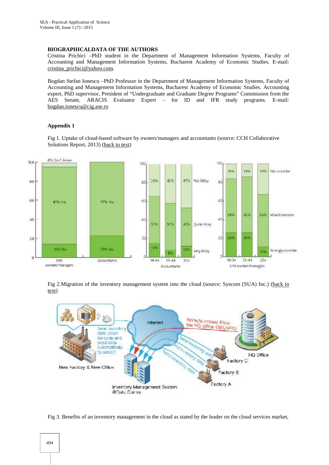### **BIOGRAPHICALDATA OF THE AUTHORS**

Cristina Prichici –PhD student in the Department of Management Information Systems, Faculty of Accounting and Management Information Systems, Bucharest Academy of Economic Studies. E-mail: cristina\_prichici@yahoo.com.

Bogdan Stefan Ionescu –PhD Professor in the Department of Management Information Systems, Faculty of Accounting and Management Information Systems, Bucharest Academy of Economic Studies. Accounting expert, PhD supervisor, President of "Undergraduate and Graduate Degree Programs" Commission from the AES Senate, ARACIS Evaluator Expert – for ID and IFR study programs. E-mail: bogdan.ionescu@cig.ase.ro

### **Appendix 1**

Fig 1. Uptake of cloud-based software by owners/managers and accountants (source: CCH Collaborative Solutions Report, 2013) (back to text)



Fig 2.Migration of the inventory management system into the cloud (source: Syscom (SUA) Inc.) (back to text)



Fig 3. Benefits of an inventory management in the cloud as stated by the leader on the cloud services market,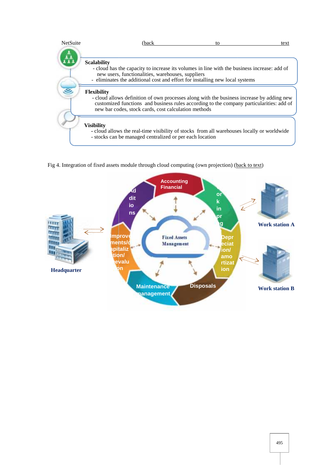| NetSuite | (back<br>to                                                                                                                                                                                                                                                         | text |
|----------|---------------------------------------------------------------------------------------------------------------------------------------------------------------------------------------------------------------------------------------------------------------------|------|
|          |                                                                                                                                                                                                                                                                     |      |
|          | <b>Scalability</b><br>- cloud has the capacity to increase its volumes in line with the business increase: add of<br>new users, functionalities, warehouses, suppliers<br>- eliminates the additional cost and effort for installing new local systems              |      |
|          | <b>Flexibility</b><br>- cloud allows definition of own processes along with the business increase by adding new<br>customized functions and business rules according to the company particularities: add of<br>new bar codes, stock cards, cost calculation methods |      |
|          | <b>Visibility</b><br>- cloud allows the real-time visibility of stocks from all warehouses locally or worldwide<br>- stocks can be managed centralized or per each location                                                                                         |      |

Fig 4. Integration of fixed assets module through cloud computing (own projection) (back to text)